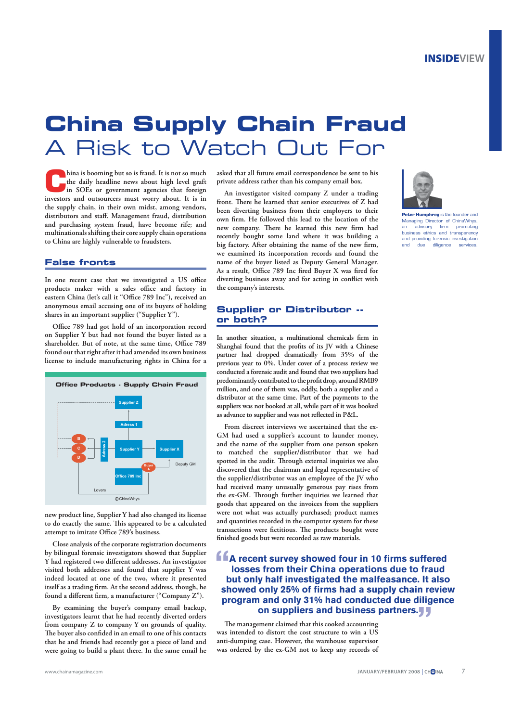## **China Supply Chain Fraud**  A Risk to Watch Out For

**China is booming but so is fraud. It is not so much the daily headline news about high level graft in SOEs or government agencies that foreign investors and outsourcers must worry about. It is in the supply chain, in their own midst, among vendors, distributors and staff. Management fraud, distribution and purchasing system fraud, have become rife; and multinationals shifting their core supply chain operations to China are highly vulnerable to fraudsters.**

#### **False fronts**

**In one recent case that we investigated a US office products maker with a sales office and factory in eastern China (let's call it "Office 789 Inc"), received an anonymous email accusing one of its buyers of holding shares in an important supplier ("Supplier Y").** 

**Office 789 had got hold of an incorporation record on Supplier Y but had not found the buyer listed as a shareholder. But of note, at the same time, Office 789 found out that right after it had amended its own business license to include manufacturing rights in China for a** 



**new product line, Supplier Y had also changed its license to do exactly the same. This appeared to be a calculated attempt to imitate Office 789's business.**

**Close analysis of the corporate registration documents by bilingual forensic investigators showed that Supplier Y had registered two different addresses. An investigator visited both addresses and found that supplier Y was indeed located at one of the two, where it presented itself as a trading firm. At the second address, though, he found a different firm, a manufacturer ("Company Z").**

**By examining the buyer's company email backup, investigators learnt that he had recently diverted orders from company Z to company Y on grounds of quality. The buyer also confided in an email to one of his contacts that he and friends had recently got a piece of land and were going to build a plant there. In the same email he** 

**asked that all future email correspondence be sent to his private address rather than his company email box.**

**An investigator visited company Z under a trading front. There he learned that senior executives of Z had been diverting business from their employers to their own firm. He followed this lead to the location of the new company. There he learned this new firm had recently bought some land where it was building a big factory. After obtaining the name of the new firm, we examined its incorporation records and found the name of the buyer listed as Deputy General Manager. As a result, Office 789 Inc fired Buyer X was fired for diverting business away and for acting in conflict with the company's interests.**

#### **Supplier or Distributor - or both?**

**In another situation, a multinational chemicals firm in Shanghai found that the profits of its JV with a Chinese partner had dropped dramatically from 35% of the previous year to 0%. Under cover of a process review we conducted a forensic audit and found that two suppliers had predominantly contributed to the profit drop, around RMB9 million, and one of them was, oddly, both a supplier and a distributor at the same time. Part of the payments to the suppliers was not booked at all, while part of it was booked as advance to supplier and was not reflected in P&L.** 

**From discreet interviews we ascertained that the ex-GM had used a supplier's account to launder money, and the name of the supplier from one person spoken to matched the supplier/distributor that we had spotted in the audit. Through external inquiries we also discovered that the chairman and legal representative of the supplier/distributor was an employee of the JV who had received many unusually generous pay rises from the ex-GM. Through further inquiries we learned that goods that appeared on the invoices from the suppliers were not what was actually purchased; product names and quantities recorded in the computer system for these transactions were fictitious. The products bought were finished goods but were recorded as raw materials.** 

### **A recent survey showed four in 10 firms suffered<br>
<b>A** recent survey showed four in 10 firms suffered<br> **SALE SECTION losses from their China operations due to fraud but only half investigated the malfeasance. It also showed only 25% of firms had a supply chain review program and only 31% had conducted due diligence on suppliers and business partners.**

**The management claimed that this cooked accounting was intended to distort the cost structure to win a US anti-dumping case. However, the warehouse supervisor was ordered by the ex-GM not to keep any records of** 



**Peter Humphrey** is the founder and Managing Director of ChinaWhys,<br>an advisory firm promoting advisory firm business ethics and transparency and providing forensic investigation and due diligence services.